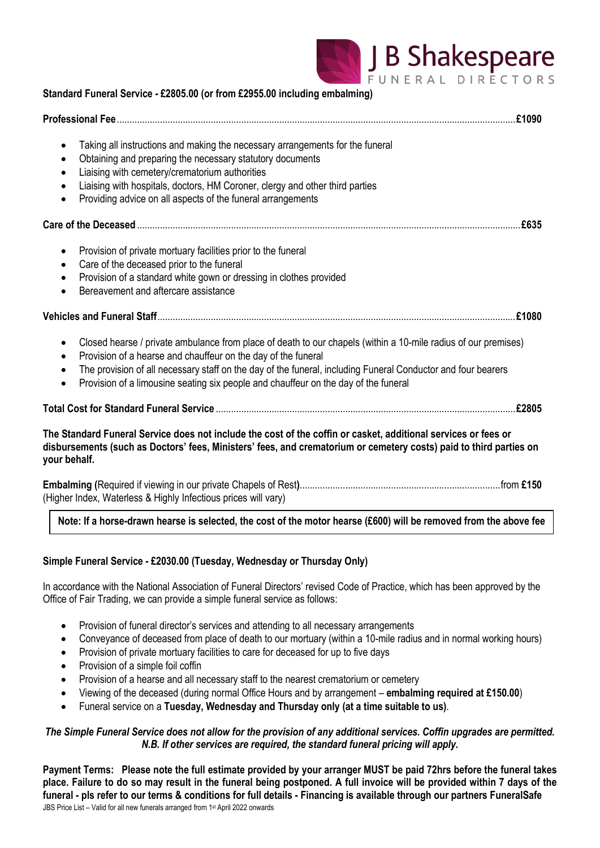

| Standard Funeral Service - £2805.00 (or from £2955.00 including embalming)                                                                                                                                                                                                                                                                                                                                                         |
|------------------------------------------------------------------------------------------------------------------------------------------------------------------------------------------------------------------------------------------------------------------------------------------------------------------------------------------------------------------------------------------------------------------------------------|
|                                                                                                                                                                                                                                                                                                                                                                                                                                    |
| Taking all instructions and making the necessary arrangements for the funeral<br>$\bullet$<br>Obtaining and preparing the necessary statutory documents<br>Liaising with cemetery/crematorium authorities<br>٠<br>Liaising with hospitals, doctors, HM Coroner, clergy and other third parties<br>$\bullet$<br>Providing advice on all aspects of the funeral arrangements<br>$\bullet$                                            |
|                                                                                                                                                                                                                                                                                                                                                                                                                                    |
| Provision of private mortuary facilities prior to the funeral<br>$\bullet$<br>Care of the deceased prior to the funeral<br>Provision of a standard white gown or dressing in clothes provided<br>$\bullet$<br>Bereavement and aftercare assistance<br>$\bullet$                                                                                                                                                                    |
|                                                                                                                                                                                                                                                                                                                                                                                                                                    |
| Closed hearse / private ambulance from place of death to our chapels (within a 10-mile radius of our premises)<br>$\bullet$<br>Provision of a hearse and chauffeur on the day of the funeral<br>٠<br>The provision of all necessary staff on the day of the funeral, including Funeral Conductor and four bearers<br>$\bullet$<br>Provision of a limousine seating six people and chauffeur on the day of the funeral<br>$\bullet$ |
|                                                                                                                                                                                                                                                                                                                                                                                                                                    |
| The Standard Funeral Service does not include the cost of the coffin or casket, additional services or fees or<br>disbursements (such as Doctors' fees, Ministers' fees, and crematorium or cemetery costs) paid to third parties on<br>your behalf.                                                                                                                                                                               |
| (Higher Index, Waterless & Highly Infectious prices will vary)                                                                                                                                                                                                                                                                                                                                                                     |

# **Note: If a horse-drawn hearse is selected, the cost of the motor hearse (£600) will be removed from the above fee**

# **Simple Funeral Service - £2030.00 (Tuesday, Wednesday or Thursday Only)**

In accordance with the National Association of Funeral Directors' revised Code of Practice, which has been approved by the Office of Fair Trading, we can provide a simple funeral service as follows:

- Provision of funeral director's services and attending to all necessary arrangements
- Conveyance of deceased from place of death to our mortuary (within a 10-mile radius and in normal working hours)
- Provision of private mortuary facilities to care for deceased for up to five days
- Provision of a simple foil coffin
- Provision of a hearse and all necessary staff to the nearest crematorium or cemetery
- Viewing of the deceased (during normal Office Hours and by arrangement **embalming required at £150.00**)
- Funeral service on a **Tuesday, Wednesday and Thursday only (at a time suitable to us)**.

### *The Simple Funeral Service does not allow for the provision of any additional services. Coffin upgrades are permitted. N.B. If other services are required, the standard funeral pricing will apply.*

JBS Price List – Valid for all new funerals arranged from 1 st April 2022 onwards **Payment Terms: Please note the full estimate provided by your arranger MUST be paid 72hrs before the funeral takes place. Failure to do so may result in the funeral being postponed. A full invoice will be provided within 7 days of the funeral - pls refer to our terms & conditions for full details - Financing is available through our partners FuneralSafe**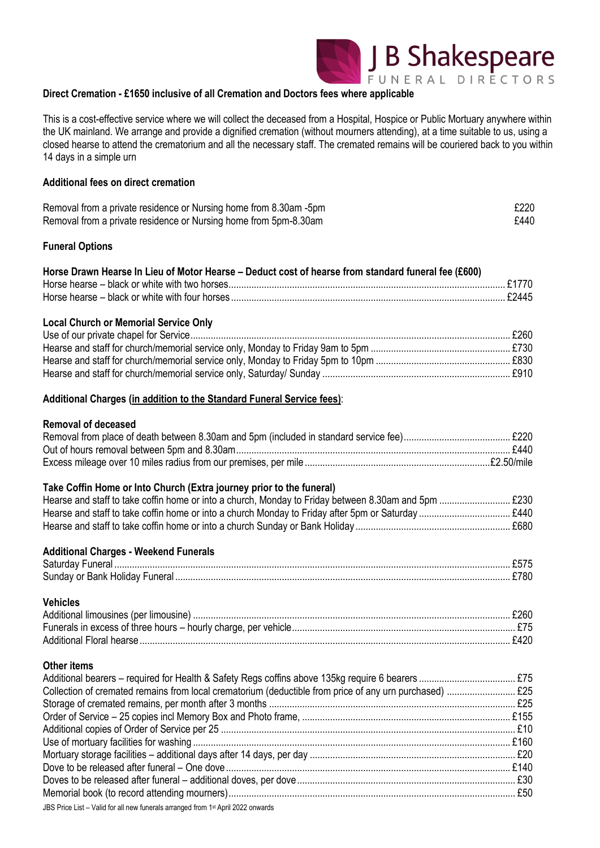

### **Direct Cremation - £1650 inclusive of all Cremation and Doctors fees where applicable**

This is a cost-effective service where we will collect the deceased from a Hospital, Hospice or Public Mortuary anywhere within the UK mainland. We arrange and provide a dignified cremation (without mourners attending), at a time suitable to us, using a closed hearse to attend the crematorium and all the necessary staff. The cremated remains will be couriered back to you within 14 days in a simple urn

### **Additional fees on direct cremation**

| Removal from a private residence or Nursing home from 8.30am -5pm | £220 |
|-------------------------------------------------------------------|------|
| Removal from a private residence or Nursing home from 5pm-8.30am  | £440 |

#### **Funeral Options**

| Horse Drawn Hearse In Lieu of Motor Hearse – Deduct cost of hearse from standard funeral fee (£600) |  |
|-----------------------------------------------------------------------------------------------------|--|
|                                                                                                     |  |
|                                                                                                     |  |

#### **Local Church or Memorial Service Only**

#### **Additional Charges (in addition to the Standard Funeral Service fees)**:

### **Removal of deceased**

#### **Take Coffin Home or Into Church (Extra journey prior to the funeral)**

| Hearse and staff to take coffin home or into a church Sunday or Bank Holiday | . £680. |
|------------------------------------------------------------------------------|---------|

| <b>Additional Charges - Weekend Funerals</b> |  |
|----------------------------------------------|--|
|                                              |  |
|                                              |  |

### **Vehicles** Additional limousines (per limousine) ............................................................................................................................. £260 Funerals in excess of three hours – hourly charge, per vehicle........................................................................................ £75 Additional Floral hearse.................................................................................................................................................. £420

#### **Other items**

| IDC Drigo Liet Nolid for all now funerals arranged from 1st April 2002 enverted |  |
|---------------------------------------------------------------------------------|--|

JBS Price List – Valid for all new funerals arranged from 1 st April 2022 onwards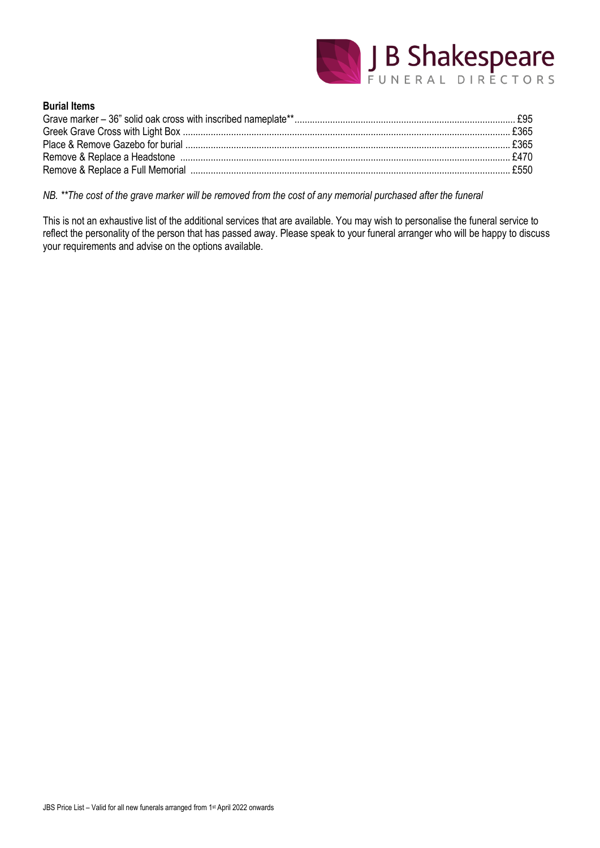

# **Burial Items**

*NB. \*\*The cost of the grave marker will be removed from the cost of any memorial purchased after the funeral*

This is not an exhaustive list of the additional services that are available. You may wish to personalise the funeral service to reflect the personality of the person that has passed away. Please speak to your funeral arranger who will be happy to discuss your requirements and advise on the options available.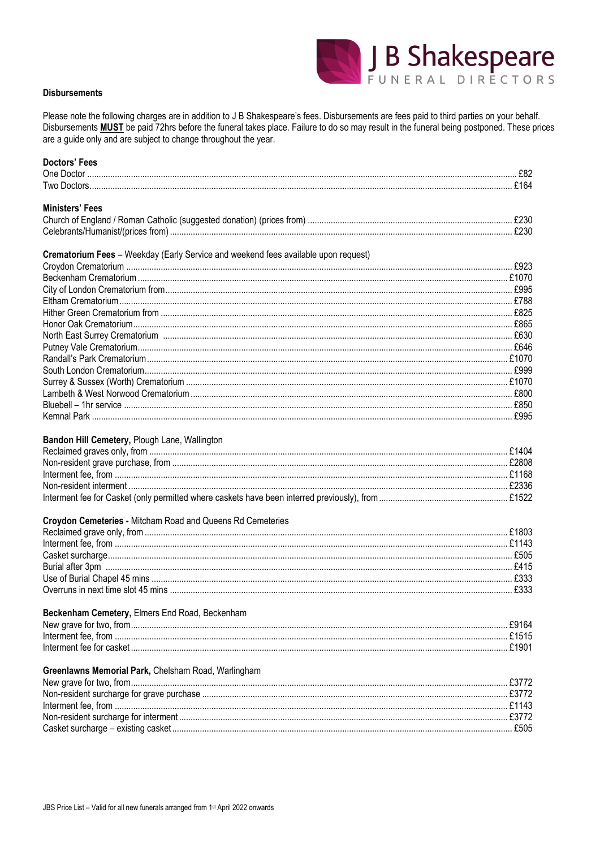

#### **Disbursements**

Please note the following charges are in addition to J B Shakespeare's fees. Disbursements are fees paid to third parties on your behalf. Disbursements **MUST** be paid 72hrs before the funeral takes place. Failure to do so may result in the funeral being postponed. These prices are a guide only and are subject to change throughout the year.

| <b>Doctors' Fees</b>                                                               |  |
|------------------------------------------------------------------------------------|--|
|                                                                                    |  |
|                                                                                    |  |
| <b>Ministers' Fees</b>                                                             |  |
|                                                                                    |  |
|                                                                                    |  |
|                                                                                    |  |
| Crematorium Fees - Weekday (Early Service and weekend fees available upon request) |  |
|                                                                                    |  |
|                                                                                    |  |
|                                                                                    |  |
|                                                                                    |  |
|                                                                                    |  |
|                                                                                    |  |
|                                                                                    |  |
|                                                                                    |  |
|                                                                                    |  |
|                                                                                    |  |
|                                                                                    |  |
|                                                                                    |  |
|                                                                                    |  |
|                                                                                    |  |
|                                                                                    |  |
|                                                                                    |  |
| Bandon Hill Cemetery, Plough Lane, Wallington                                      |  |
|                                                                                    |  |
|                                                                                    |  |
|                                                                                    |  |
|                                                                                    |  |
|                                                                                    |  |
| Croydon Cemeteries - Mitcham Road and Queens Rd Cemeteries                         |  |
|                                                                                    |  |
|                                                                                    |  |
|                                                                                    |  |
|                                                                                    |  |
|                                                                                    |  |
|                                                                                    |  |
|                                                                                    |  |
| Beckenham Cemetery, Elmers End Road, Beckenham                                     |  |
|                                                                                    |  |
|                                                                                    |  |
|                                                                                    |  |
|                                                                                    |  |
| Greenlawns Memorial Park, Chelsham Road, Warlingham                                |  |
|                                                                                    |  |
|                                                                                    |  |
|                                                                                    |  |
|                                                                                    |  |
|                                                                                    |  |
|                                                                                    |  |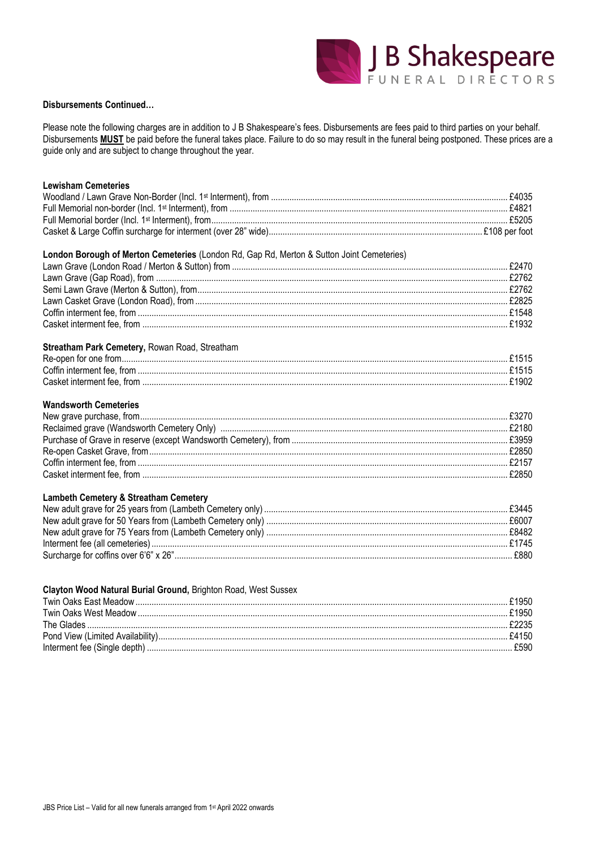

#### **Disbursements Continued...**

Please note the following charges are in addition to J B Shakespeare's fees. Disbursements are fees paid to third parties on your behalf. Disbursements **MUST** be paid before the funeral takes place. Failure to do so may result in the funeral being postponed. These prices are a guide only and are subject to change throughout the year.

| <b>Lewisham Cemeteries</b>                                                                |       |
|-------------------------------------------------------------------------------------------|-------|
|                                                                                           |       |
|                                                                                           |       |
|                                                                                           |       |
|                                                                                           |       |
|                                                                                           |       |
| London Borough of Merton Cemeteries (London Rd, Gap Rd, Merton & Sutton Joint Cemeteries) |       |
|                                                                                           |       |
|                                                                                           |       |
|                                                                                           |       |
|                                                                                           |       |
|                                                                                           |       |
|                                                                                           |       |
| Streatham Park Cemetery, Rowan Road, Streatham                                            |       |
|                                                                                           |       |
|                                                                                           |       |
|                                                                                           |       |
|                                                                                           |       |
| <b>Wandsworth Cemeteries</b>                                                              |       |
|                                                                                           |       |
|                                                                                           |       |
|                                                                                           |       |
|                                                                                           |       |
|                                                                                           |       |
|                                                                                           |       |
| <b>Lambeth Cemetery &amp; Streatham Cemetery</b>                                          |       |
|                                                                                           |       |
|                                                                                           |       |
|                                                                                           |       |
|                                                                                           |       |
|                                                                                           |       |
|                                                                                           |       |
| Clayton Wood Natural Burial Ground, Brighton Road, West Sussex                            |       |
|                                                                                           |       |
| Twin Oake Wast Maadow                                                                     | 61050 |

| The Glades |      |
|------------|------|
|            |      |
|            | £590 |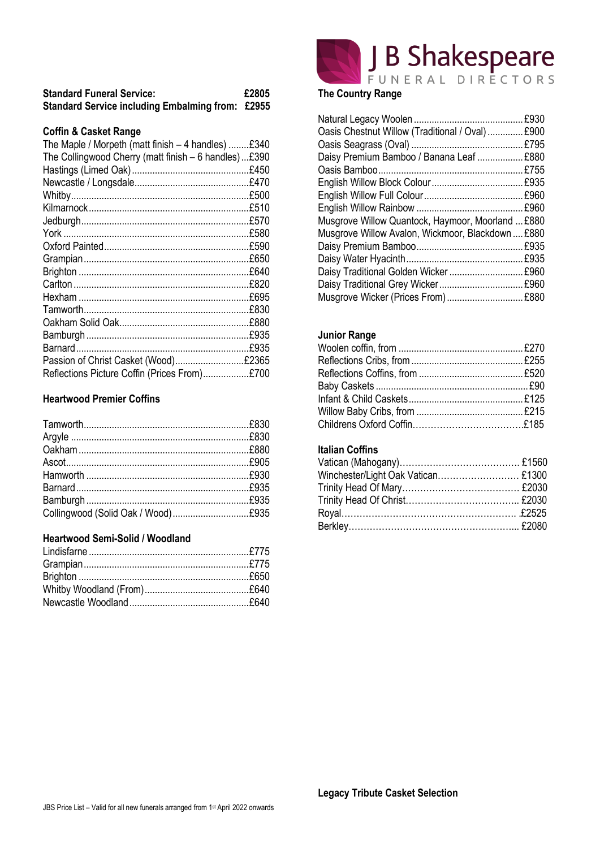| <b>Standard Funeral Service:</b>                        | £2805 |
|---------------------------------------------------------|-------|
| <b>Standard Service including Embalming from: £2955</b> |       |

#### **Coffin & Casket Range**

| The Maple / Morpeth (matt finish - 4 handles) £340   |      |
|------------------------------------------------------|------|
| The Collingwood Cherry (matt finish - 6 handles)£390 |      |
|                                                      |      |
|                                                      |      |
|                                                      |      |
|                                                      |      |
|                                                      |      |
|                                                      | £580 |
|                                                      | £590 |
|                                                      | £650 |
|                                                      | £640 |
|                                                      | £820 |
|                                                      | £695 |
|                                                      | £830 |
|                                                      |      |
|                                                      | £935 |
|                                                      | £935 |
| Passion of Christ Casket (Wood)£2365                 |      |
| Reflections Picture Coffin (Prices From)£700         |      |

### **Heartwood Premier Coffins**

# **Heartwood Semi-Solid / Woodland**



### Natural Legacy Woolen ........................................... £930 Oasis Chestnut Willow (Traditional / Oval).............. £900 Oasis Seagrass (Oval) ............................................ £795 Daisy Premium Bamboo / Banana Leaf .................. £880 Oasis Bamboo......................................................... £755 English Willow Block Colour.................................... £935 English Willow Full Colour....................................... £960 English Willow Rainbow .......................................... £960 Musgrove Willow Quantock, Haymoor, Moorland ... £880 Musgrove Willow Avalon, Wickmoor, Blackdown .... £880 Daisy Premium Bamboo.......................................... £935 Daisy Water Hyacinth.............................................. £935 Daisy Traditional Golden Wicker ................................... £960 Daisy Traditional Grey Wicker................................. £960 Musgrove Wicker (Prices From).............................. £880

J B Shakespeare

### **Junior Range**

# **Italian Coffins**

| Winchester/Light Oak Vatican £1300 |  |
|------------------------------------|--|
|                                    |  |
|                                    |  |
|                                    |  |
|                                    |  |